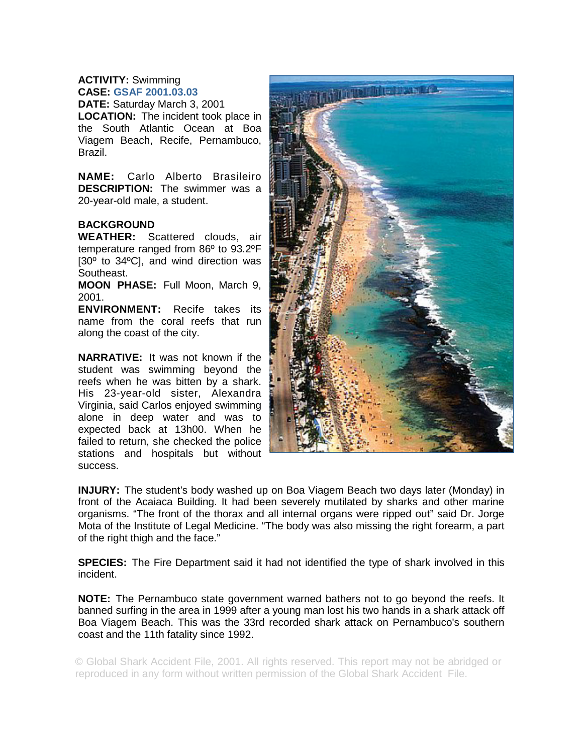## **ACTIVITY:** Swimming **CASE: GSAF 2001.03.03**

**DATE:** Saturday March 3, 2001 **LOCATION:** The incident took place in the South Atlantic Ocean at Boa Viagem Beach, Recife, Pernambuco, Brazil.

**NAME:** Carlo Alberto Brasileiro **DESCRIPTION:** The swimmer was a 20-year-old male, a student.

## **BACKGROUND**

**WEATHER:** Scattered clouds, air temperature ranged from 86º to 93.2ºF [30º to 34ºC], and wind direction was Southeast.

**MOON PHASE:** Full Moon, March 9, 2001.

**ENVIRONMENT:** Recife takes its name from the coral reefs that run along the coast of the city.

**NARRATIVE:** It was not known if the student was swimming beyond the reefs when he was bitten by a shark. His 23-year-old sister, Alexandra Virginia, said Carlos enjoyed swimming alone in deep water and was to expected back at 13h00. When he failed to return, she checked the police stations and hospitals but without success.



**INJURY:** The student's body washed up on Boa Viagem Beach two days later (Monday) in front of the Acaiaca Building. It had been severely mutilated by sharks and other marine organisms. "The front of the thorax and all internal organs were ripped out" said Dr. Jorge Mota of the Institute of Legal Medicine. "The body was also missing the right forearm, a part of the right thigh and the face."

**SPECIES:** The Fire Department said it had not identified the type of shark involved in this incident.

**NOTE:** The Pernambuco state government warned bathers not to go beyond the reefs. It banned surfing in the area in 1999 after a young man lost his two hands in a shark attack off Boa Viagem Beach. This was the 33rd recorded shark attack on Pernambuco's southern coast and the 11th fatality since 1992.

© Global Shark Accident File, 2001. All rights reserved. This report may not be abridged or reproduced in any form without written permission of the Global Shark Accident File.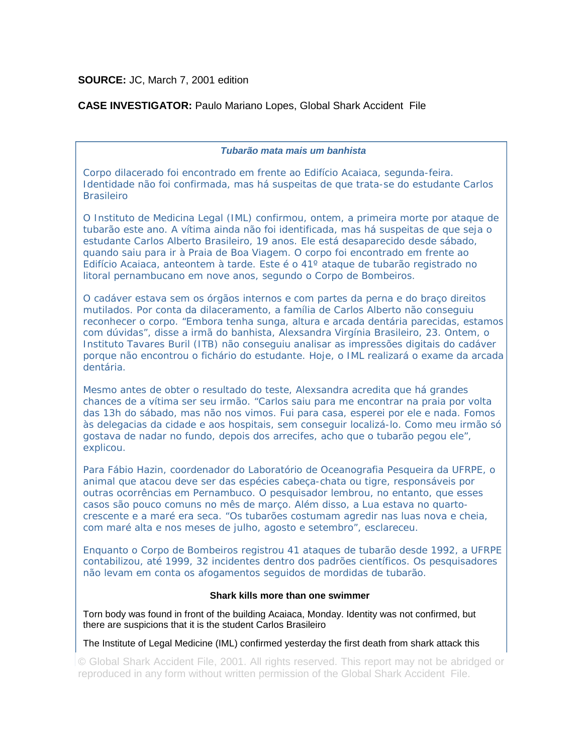**SOURCE:** JC, March 7, 2001 edition

**CASE INVESTIGATOR:** Paulo Mariano Lopes, Global Shark Accident File

*Tubarão mata mais um banhista* 

*Corpo dilacerado foi encontrado em frente ao Edifício Acaiaca, segunda-feira. Identidade não foi confirmada, mas há suspeitas de que trata-se do estudante Carlos Brasileiro* 

*O Instituto de Medicina Legal (IML) confirmou, ontem, a primeira morte por ataque de tubarão este ano. A vítima ainda não foi identificada, mas há suspeitas de que seja o estudante Carlos Alberto Brasileiro, 19 anos. Ele está desaparecido desde sábado, quando saiu para ir à Praia de Boa Viagem. O corpo foi encontrado em frente ao Edifício Acaiaca, anteontem à tarde. Este é o 41º ataque de tubarão registrado no litoral pernambucano em nove anos, segundo o Corpo de Bombeiros.* 

*O cadáver estava sem os órgãos internos e com partes da perna e do braço direitos mutilados. Por conta da dilaceramento, a família de Carlos Alberto não conseguiu reconhecer o corpo. "Embora tenha sunga, altura e arcada dentária parecidas, estamos com dúvidas", disse a irmã do banhista, Alexsandra Virgínia Brasileiro, 23. Ontem, o Instituto Tavares Buril (ITB) não conseguiu analisar as impressões digitais do cadáver porque não encontrou o fichário do estudante. Hoje, o IML realizará o exame da arcada dentária.* 

*Mesmo antes de obter o resultado do teste, Alexsandra acredita que há grandes chances de a vítima ser seu irmão. "Carlos saiu para me encontrar na praia por volta das 13h do sábado, mas não nos vimos. Fui para casa, esperei por ele e nada. Fomos às delegacias da cidade e aos hospitais, sem conseguir localizá-lo. Como meu irmão só gostava de nadar no fundo, depois dos arrecifes, acho que o tubarão pegou ele", explicou.* 

*Para Fábio Hazin, coordenador do Laboratório de Oceanografia Pesqueira da UFRPE, o animal que atacou deve ser das espécies cabeça-chata ou tigre, responsáveis por outras ocorrências em Pernambuco. O pesquisador lembrou, no entanto, que esses casos são pouco comuns no mês de março. Além disso, a Lua estava no quartocrescente e a maré era seca. "Os tubarões costumam agredir nas luas nova e cheia, com maré alta e nos meses de julho, agosto e setembro", esclareceu.* 

*Enquanto o Corpo de Bombeiros registrou 41 ataques de tubarão desde 1992, a UFRPE contabilizou, até 1999, 32 incidentes dentro dos padrões científicos. Os pesquisadores não levam em conta os afogamentos seguidos de mordidas de tubarão.* 

## **Shark kills more than one swimmer**

Torn body was found in front of the building Acaiaca, Monday. Identity was not confirmed, but there are suspicions that it is the student Carlos Brasileiro

The Institute of Legal Medicine (IML) confirmed yesterday the first death from shark attack this

© Global Shark Accident File, 2001. All rights reserved. This report may not be abridged or reproduced in any form without written permission of the Global Shark Accident File.